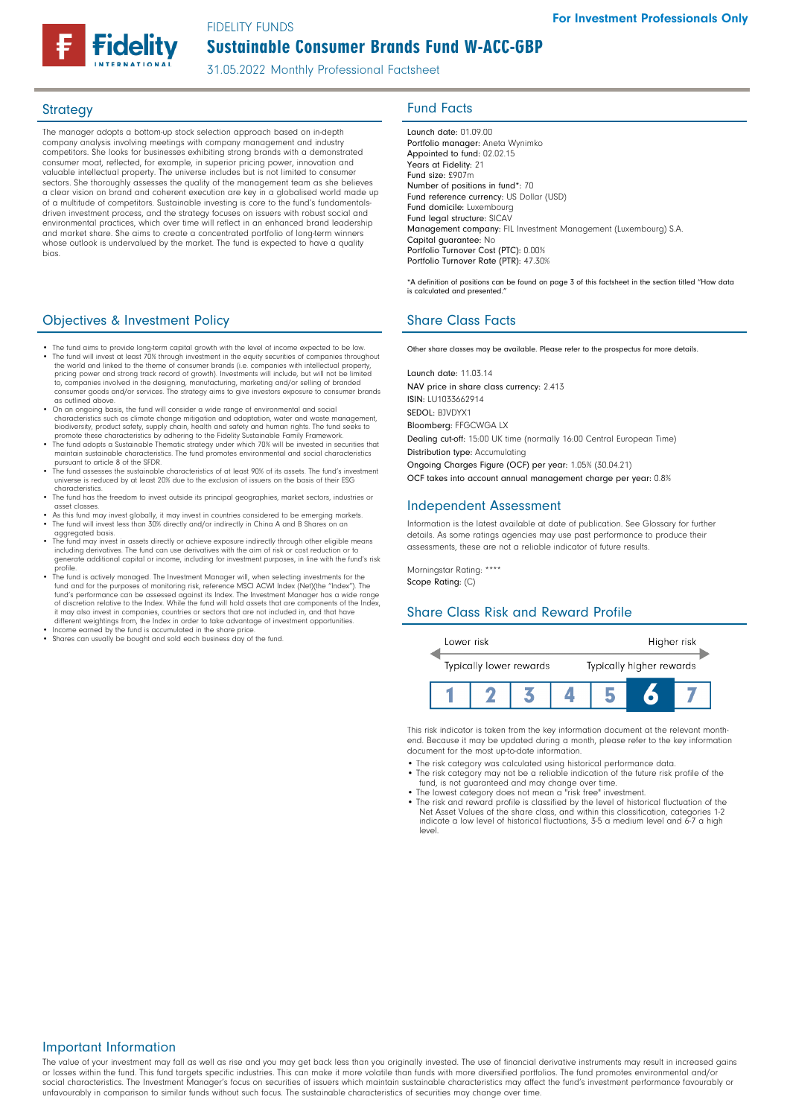FIDELITY FUNDS

# Sustainable Consumer Brands Fund W-ACC-GBP

31.05.2022 Monthly Professional Factsheet

The manager adopts a bottom-up stock selection approach based on in-depth company analysis involving meetings with company management and industry competitors. She looks for businesses exhibiting strong brands with a demonstrated consumer moat, reflected, for example, in superior pricing power, innovation and valuable intellectual property. The universe includes but is not limited to consumer sectors. She thoroughly assesses the quality of the management team as she believes a clear vision on brand and coherent execution are key in a globalised world made up of a multitude of competitors. Sustainable investing is core to the fund's fundamentals-driven investment process, and the strategy focuses on issuers with robust social and environmental practices, which over time will reflect in an enhanced brand leadership and market share. She aims to create a concentrated portfolio of long-term winners whose outlook is undervalued by the market. The fund is expected to have a quality bias.

# **Objectives & Investment Policy Share Class Facts** Share Class Facts

- The fund aims to provide long-term capital growth with the level of income expected to be low.
- The fund will invest at least 70% through investment in the equity securities of companies throughout the world and linked to the theme of consumer brands (i.e. companies with intellectual property, pricing power and strong track record of growth). Investments will include, but will not be limited<br>to, companies involved in the designing, manufacturing, marketing and/or selling of branded<br>consumer goods and/or services as outlined above.
- On an ongoing basis, the fund will consider a wide range of environmental and social characteristics such as climate change mitigation and adaptation, water and waste management biodiversity, product safety, supply chain, health and safety and human rights. The fund seeks to promote these characteristics by adhering to the Fidelity Sustainable Family Framework.
- The fund adopts a Sustainable Thematic strategy under which 70% will be invested in securities that maintain sustainable characteristics. The fund promotes environmental and social characteristics pursuant to article 8 of the SFDR. • The fund assesses the sustainable characteristics of at least 90% of its assets. The fund's investment
- universe is reduced by at least 20% due to the exclusion of issuers on the basis of their ESG characteristics.
- The fund has the freedom to invest outside its principal geographies, market sectors, industries or asset classes.
- As this fund may invest globally, it may invest in countries considered to be emerging markets. The fund will invest less than 30% directly and/or indirectly in China A and B Shares on an aggregated basis.
- The fund may invest in assets directly or achieve exposure indirectly through other eligible means including derivatives. The fund can use derivatives with the aim of risk or cost reduction generate additional capital or income, including for investment purposes, in line with the fund's risk<br>profile
- profile. The fund is actively managed. The Investment Manager will, when selecting investments for the fund and for the purposes of monitoring risk, reference MSCI ACWI Index (Net)(the "Index"). The<br>fund's performance can be assessed against its Index. The Investment Manager has a wide range<br>of discretion relative to the In it may also invest in companies, countries or sectors that are not included in, and that have different weightings from, the Index in order to take advantage of investment opportunities. • Income earned by the fund is accumulated in the share price.
- 
- Shares can usually be bought and sold each business day of the fund.

# Strategy **Fund Facts**

Launch date: 01.09.00 Portfolio manager: Aneta Wynimko Appointed to fund: 02.02.15 Years at Fidelity: 21 Fund size: £907m Number of positions in fund\*: 70 Fund reference currency: US Dollar (USD) Fund domicile: Luxembourg Fund legal structure: SICAV Management company: FIL Investment Management (Luxembourg) S.A. Capital guarantee: No Portfolio Turnover Cost (PTC): 0.00% Portfolio Turnover Rate (PTR): 47.30%

\*A definition of positions can be found on page 3 of this factsheet in the section titled "How data is calculated and presented."

Other share classes may be available. Please refer to the prospectus for more details.

Launch date: 11.03.14 NAV price in share class currency: 2.413 ISIN: LU1033662914 SEDOL: BJVDYX1 Bloomberg: FFGCWGA LX Dealing cut-off: 15:00 UK time (normally 16:00 Central European Time) Distribution type: Accumulating Ongoing Charges Figure (OCF) per year: 1.05% (30.04.21) OCF takes into account annual management charge per year: 0.8%

#### Independent Assessment

Information is the latest available at date of publication. See Glossary for further details. As some ratings agencies may use past performance to produce their assessments, these are not a reliable indicator of future results.

Morningstar Rating: \*\*\*\* Scope Rating: (C)

level.

#### Share Class Risk and Reward Profile



This risk indicator is taken from the key information document at the relevant monthend. Because it may be updated during a month, please refer to the key information document for the most up-to-date information.

- The risk category was calculated using historical performance data.
- The risk category may not be a reliable indication of the future risk profile of the fund, is not guaranteed and may change over time.

indicate a low level of historical fluctuations, 3-5 a medium level and 6-7 a high

• The lowest category does not mean a "risk free" investment. • The risk and reward profile is classified by the level of historical fluctuation of the Net Asset Values of the share class, and within this classification, categories 1-2

### Important Information

The value of your investment may fall as well as rise and you may get back less than you originally invested. The use of financial derivative instruments may result in increased gains or losses within the fund. This fund targets specific industries. This can make it more volatile than funds with more diversified portfolios. The fund promotes environmental and/or social characteristics. The Investment Manager's focus on securities of issuers which maintain sustainable characteristics may affect the fund's investment performance favourably or unfavourably in comparison to similar funds without such focus. The sustainable characteristics of securities may change over time.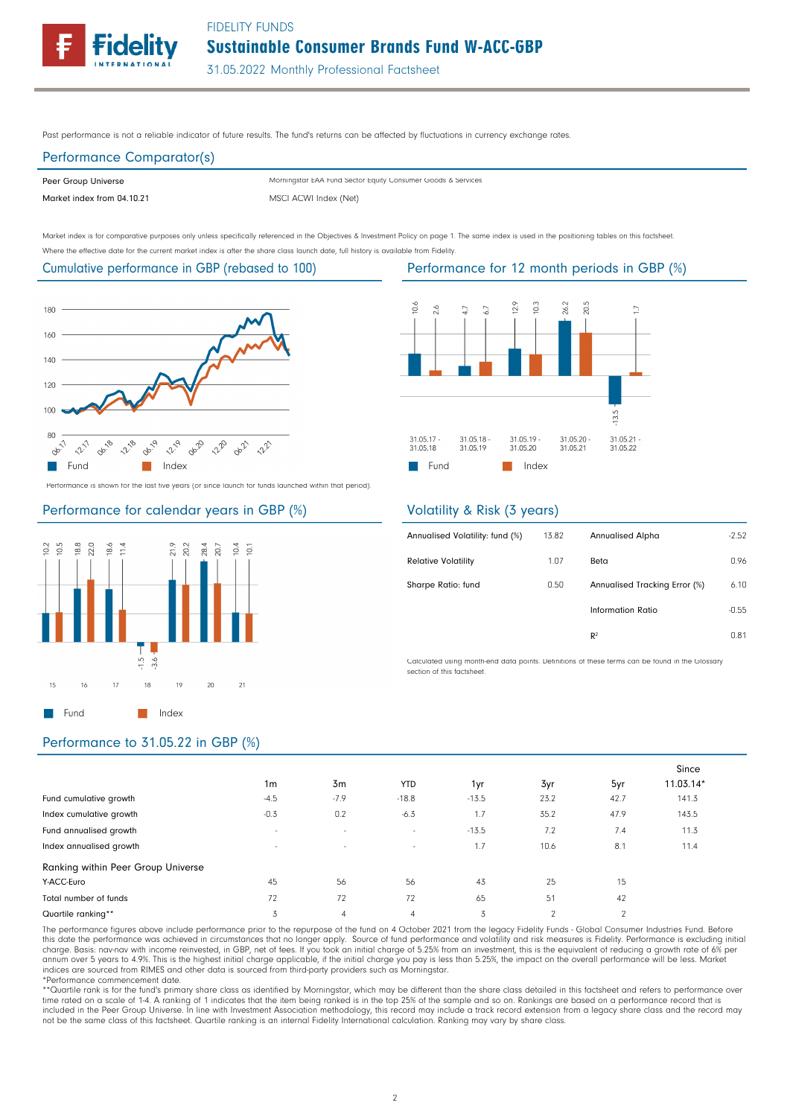Sustainable Consumer Brands Fund W-ACC-GBP FIDELITY FUNDS



31.05.2022 Monthly Professional Factsheet

Past performance is not a reliable indicator of future results. The fund's returns can be affected by fluctuations in currency exchange rates.

# Performance Comparator(s)

Peer Group Universe Market index from 04.10.21 MSCI ACWI Index (Net) Morningstar EAA Fund Sector Equity Consumer Goods & Services

Market index is for comparative purposes only unless specifically referenced in the Objectives & Investment Policy on page 1. The same index is used in the positioning tables on this factsheet. Where the effective date for the current market index is after the share class launch date, full history is available from Fidelity.

# Cumulative performance in GBP (rebased to 100)



Performance is shown for the last five years (or since launch for funds launched within that period).

### Performance for calendar years in GBP (%)



#### $0.6$  $12.9$  $26.2$ 20.5  $\frac{3}{2}$  $2.6$ b Ď  $\overline{a}$ 3.5 31.05.19 31.05.21<br>31.05.22 31.05.17 31.05.18 31.05.20 31.05.18 31.05.19 31.05.20 31.05.21 **Fund** Index

### Volatility & Risk (3 years)

| Annualised Volatility: fund (%) | 13.82 | <b>Annualised Alpha</b>       | $-2.52$ |
|---------------------------------|-------|-------------------------------|---------|
| <b>Relative Volatility</b>      | 1.07  | Beta                          | 0.96    |
| Sharpe Ratio: fund              | 0.50  | Annualised Tracking Error (%) | 6.10    |
|                                 |       | Information Ratio             | $-0.55$ |
|                                 |       | R <sup>2</sup>                | 0.81    |

Calculated using month-end data points. Definitions of these terms can be found in the Glossary section of this factsheet.

### Performance to 31.05.22 in GBP (%)

|                                    |                          |                |                |         |                |                | Since     |
|------------------------------------|--------------------------|----------------|----------------|---------|----------------|----------------|-----------|
|                                    | 1 <sub>m</sub>           | 3m             | <b>YTD</b>     | 1yr     | 3yr            | 5yr            | 11.03.14* |
| Fund cumulative growth             | $-4.5$                   | $-7.9$         | $-18.8$        | $-13.5$ | 23.2           | 42.7           | 141.3     |
| Index cumulative growth            | $-0.3$                   | 0.2            | $-6.3$         | 1.7     | 35.2           | 47.9           | 143.5     |
| Fund annualised growth             | $\overline{\phantom{a}}$ | $\sim$         | $\sim$         | $-13.5$ | 7.2            | 7.4            | 11.3      |
| Index annualised growth            | $\sim$                   | $\sim$         | $\sim$         | 1.7     | 10.6           | 8.1            | 11.4      |
| Ranking within Peer Group Universe |                          |                |                |         |                |                |           |
| Y-ACC-Euro                         | 45                       | 56             | 56             | 43      | 25             | 15             |           |
| Total number of funds              | 72                       | 72             | 72             | 65      | 51             | 42             |           |
| Quartile ranking**                 | 3                        | $\overline{4}$ | $\overline{4}$ | 3       | $\mathfrak{p}$ | $\overline{2}$ |           |

The performance figures above include performance prior to the repurpose of the fund on 4 October 2021 from the legacy Fidelity Funds - Global Consumer Industries Fund. Before this date the performance was achieved in circumstances that no longer apply. Source of fund performance and volatility and risk measures is Fidelity. Performance is excluding initia<br>charge. Basis: nav-nav with income rein annum over 5 years to 4.9%. This is the highest initial charge applicable, if the initial charge you pay is less than 5.25%, the impact on the overall performance will be less. Market<br>indices are sourced from RIMES and oth \*Performance commencement date.

\*\*Cuartile rank is for the fund's primary share class as identified by Morningstar, which may be different than the share class detailed in this factsheet and refers to performance over time rated on a scale of 1-4. A ranking of 1 indicates that the item being ranked is in the top 25% of the sample and so on. Rankings are based on a performance record that is included in the Peer Group Universe. In line with Investment Association methodology, this record may include a track record extension from a legacy share class and the record may<br>not be the same class of this factsheet. Q

# Performance for 12 month periods in GBP (%)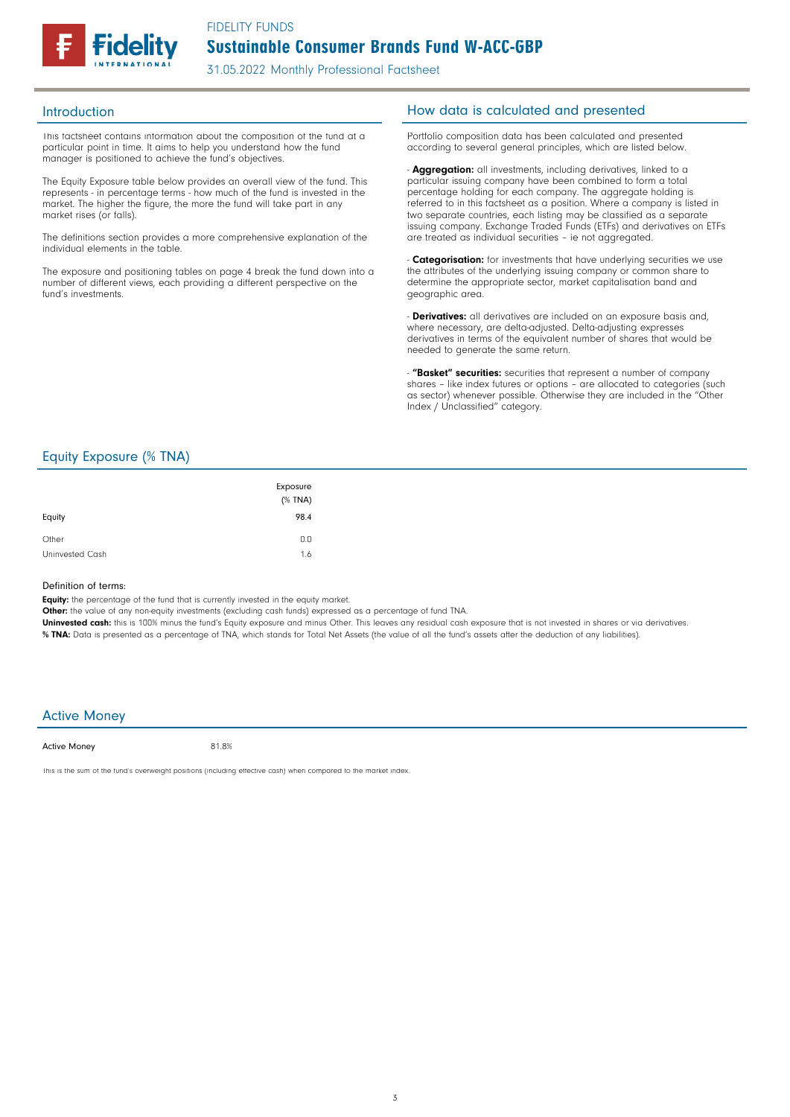

31.05.2022 Monthly Professional Factsheet

This factsheet contains information about the composition of the fund at a particular point in time. It aims to help you understand how the fund manager is positioned to achieve the fund's objectives.

The Equity Exposure table below provides an overall view of the fund. This represents - in percentage terms - how much of the fund is invested in the market. The higher the figure, the more the fund will take part in any market rises (or falls).

The definitions section provides a more comprehensive explanation of the individual elements in the table.

The exposure and positioning tables on page 4 break the fund down into a number of different views, each providing a different perspective on the fund's investments.

## Introduction **Introduction How data is calculated and presented**

Portfolio composition data has been calculated and presented according to several general principles, which are listed below.

- **Aggregation:** all investments, including derivatives, linked to a particular issuing company have been combined to form a total percentage holding for each company. The aggregate holding is referred to in this factsheet as a position. Where a company is listed in two separate countries, each listing may be classified as a separate issuing company. Exchange Traded Funds (ETFs) and derivatives on ETFs are treated as individual securities – ie not aggregated.

**Categorisation:** for investments that have underlying securities we use the attributes of the underlying issuing company or common share to determine the appropriate sector, market capitalisation band and geographic area.

- **Derivatives:** all derivatives are included on an exposure basis and, where necessary, are delta-adjusted. Delta-adjusting expresses derivatives in terms of the equivalent number of shares that would be needed to generate the same return.

"Basket" securities: securities that represent a number of company shares - like index futures or options - are allocated to categories (such as sector) whenever possible. Otherwise they are included in the "Other Index / Unclassified" category.

# Equity Exposure (% TNA)

| Equity          | Exposure<br>$(%$ (% TNA)<br>98.4 |
|-----------------|----------------------------------|
| Other           | 0.0                              |
| Uninvested Cash | 1.6                              |

#### Definition of terms:

Equity: the percentage of the fund that is currently invested in the equity market.

Other: the value of any non-equity investments (excluding cash funds) expressed as a percentage of fund TNA.

Uninvested cash: this is 100% minus the fund's Equity exposure and minus Other. This leaves any residual cash exposure that is not invested in shares or via derivatives. % TNA: Data is presented as a percentage of TNA, which stands for Total Net Assets (the value of all the fund's assets after the deduction of any liabilities).

#### Active Money

Active Money

81.8%

This is the sum of the fund's overweight positions (including effective cash) when compared to the market index.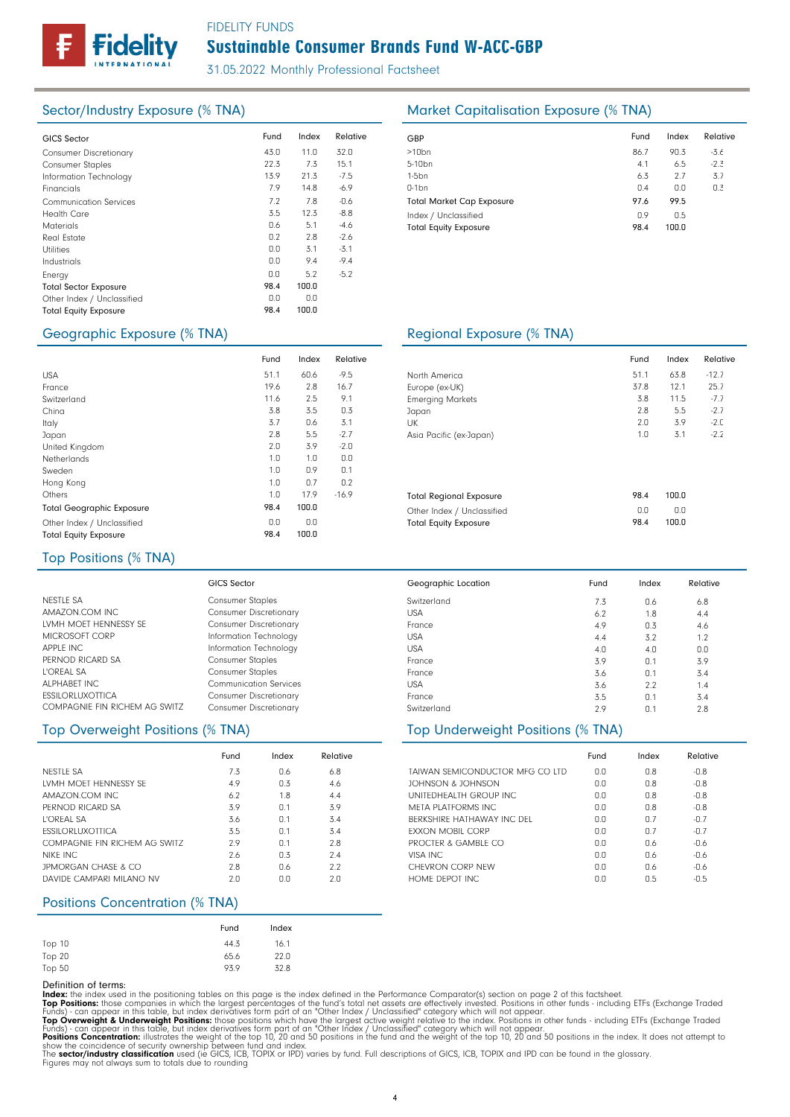FIDELITY FUNDS

# Sustainable Consumer Brands Fund W-ACC-GBP

31.05.2022 Monthly Professional Factsheet

| <b>GICS Sector</b>            | Fund | Index | Relative | GBP              |
|-------------------------------|------|-------|----------|------------------|
| <b>Consumer Discretionary</b> | 43.0 | 11.0  | 32.0     | >10 <sub>k</sub> |
| <b>Consumer Staples</b>       | 22.3 | 7.3   | 15.1     | $5 - 10$         |
| Information Technology        | 13.9 | 21.3  | $-7.5$   | $1-5b$           |
| Financials                    | 7.9  | 14.8  | $-6.9$   | $0-1b$           |
| <b>Communication Services</b> | 7.2  | 7.8   | $-0.6$   | Tota             |
| <b>Health Care</b>            | 3.5  | 12.3  | $-8.8$   | Inde             |
| <b>Materials</b>              | 0.6  | 5.1   | $-4.6$   | Tota             |
| <b>Real Estate</b>            | 0.2  | 2.8   | $-2.6$   |                  |
| <b>Utilities</b>              | 0.0  | 3.1   | $-3.1$   |                  |
| Industrials                   | 0.0  | 9.4   | $-9.4$   |                  |
| Energy                        | 0.0  | 5.2   | $-5.2$   |                  |
| <b>Total Sector Exposure</b>  | 98.4 | 100.0 |          |                  |
| Other Index / Unclassified    | 0.0  | 0.0   |          |                  |
| <b>Total Equity Exposure</b>  | 98.4 | 100.0 |          |                  |
|                               |      |       |          |                  |

# Sector/Industry Exposure (% TNA) Market Capitalisation Exposure (% TNA)

| GBP                              | Fund | Index | Relative |
|----------------------------------|------|-------|----------|
| $>10$ bn                         | 86.7 | 90.3  | -3.6     |
| 5-10 <sub>bn</sub>               | 4.1  | 6.5   | $-2.3$   |
| $1-5$ bn                         | 6.3  | 2.7   | 3.7      |
| $0-1$ bn                         | 0.4  | 0.0   | 0.3      |
| <b>Total Market Cap Exposure</b> | 97.6 | 99.5  |          |
| Index / Unclassified             | 0.9  | 0.5   |          |
| <b>Total Equity Exposure</b>     | 98.4 | 100.0 |          |

### Geographic Exposure (% TNA) Geographic Exposure (% TNA)

Switzerland USA France USA USA France France USA France **Switzerland** 

Geographic Location

|                                  | Fund | Index | Relative |                        |
|----------------------------------|------|-------|----------|------------------------|
| <b>USA</b>                       | 51.1 | 60.6  | $-9.5$   | North America          |
| France                           | 19.6 | 2.8   | 16.7     | Europe (ex-UK)         |
| Switzerland                      | 11.6 | 2.5   | 9.1      | Emerging Mark          |
| China                            | 3.8  | 3.5   | 0.3      | Japan                  |
| Italy                            | 3.7  | 0.6   | 3.1      | UK                     |
| Japan                            | 2.8  | 5.5   | $-2.7$   | Asia Pacific (e)       |
| United Kingdom                   | 2.0  | 3.9   | $-2.0$   |                        |
| Netherlands                      | 1.0  | 1.0   | 0.0      |                        |
| Sweden                           | 1.0  | 0.9   | 0.1      |                        |
| Hong Kong                        | 1.0  | 0.7   | 0.2      |                        |
| Others                           | 1.0  | 17.9  | $-16.9$  | <b>Total Regional</b>  |
| <b>Total Geographic Exposure</b> | 98.4 | 100.0 |          | Other Index / l        |
| Other Index / Unclassified       | 0.0  | 0.0   |          | <b>Total Equity Ex</b> |
| <b>Total Equity Exposure</b>     | 98.4 | 100.0 |          |                        |

#### **Markets** (ex-Japan) nal Exposure / Unclassified **Exposure** 3.8 2.8  $2.0$ 1.0 11.5 5.5 3.9 3.1 -7.7 -2.7 -2.0  $-2.2$ 98.4 100.0 0.0 98.4 0.0 100.0

 $0.6$ 1.8 0.3 3.2 4.0 0.1 0.1 2.2 0.1  $n<sub>1</sub>$ 

7.3 6.2 4.9 4.4 4.0 3.9 3.6 3.6 3.5 2.9

Fund Index Relative

6.8 4.4 4.6 1.2 0.0 3.9 3.4 1.4 3.4 2.8

Fund Index Relative 51.1 63.8 -12.7

12.1

25.7

37.8

#### Top Positions (% TNA)

|                               | <b>GICS Sector</b>            |
|-------------------------------|-------------------------------|
| NESTLE SA                     | <b>Consumer Staples</b>       |
| AMAZON.COM INC                | <b>Consumer Discretionary</b> |
| LVMH MOET HENNESSY SE         | <b>Consumer Discretionary</b> |
| MICROSOFT CORP                | Information Technology        |
| APPLE INC                     | Information Technology        |
| PERNOD RICARD SA              | <b>Consumer Staples</b>       |
| L'OREAL SA                    | <b>Consumer Staples</b>       |
| ALPHABET INC                  | <b>Communication Services</b> |
| <b>ESSILORLUXOTTICA</b>       | <b>Consumer Discretionary</b> |
| COMPAGNIE FIN RICHEM AG SWITZ | <b>Consumer Discretionary</b> |

|                                | Fund | Index | Relative |
|--------------------------------|------|-------|----------|
| NESTLE SA                      | 7.3  | 0.6   | 6.8      |
| LVMH MOFT HENNESSY SF          | 4.9  | 0.3   | 4.6      |
| AMAZON COM INC                 | 6.2  | 1.8   | 4.4      |
| PERNOD RICARD SA               | 3.9  | 0.1   | 3.9      |
| L'ORFAL SA                     | 3.6  | 0.1   | 3.4      |
| <b>FSSILORLUXOTTICA</b>        | 3.5  | 0.1   | 3.4      |
| COMPAGNIF FIN RICHEM AG SWITZ  | 2.9  | 0.1   | 2.8      |
| NIKE INC                       | 2.6  | 0.3   | 7.4      |
| <b>JPMORGAN CHASE &amp; CO</b> | 2.8  | 0.6   | 2.2      |
| DAVIDE CAMPARI MILANO NV       | 2.0  | 0.0   | 2.0      |

### Positions Concentration (% TNA)

|        | Fund | Index |
|--------|------|-------|
| Top 10 | 44.3 | 16.1  |
| Top 20 | 65.6 | 22.0  |
| Top 50 | 93.9 | 32.8  |

Definition of terms:<br>
Top Positions: these din the positioning tables on this page is the index defined in the Performance Comparator(s) section on page 2 of this factsheet.<br>
ITOP Positions: those companies in which the la

# Top Overweight Positions (% TNA) Top Underweight Positions (% TNA)

|                                 | Fund | Index       | Relative |
|---------------------------------|------|-------------|----------|
| TAIWAN SEMICONDUCTOR MEG CO LTD | 0.0  | 0.8         | $-0.8$   |
| JOHNSON & JOHNSON               | 0.0  | 0.8         | $-0.8$   |
| UNITEDHEALTH GROUP INC.         | 0.0  | 0.8         | $-0.8$   |
| MFTA PLATFORMS INC.             | 0.0  | 0.8         | $-0.8$   |
| BERKSHIRE HATHAWAY INC DEL      | 0.0  | 07          | $-0.7$   |
| FXXON MOBIL CORP                | 0.0  | 07          | $-0.7$   |
| PROCTER & GAMBLE CO             | n n  | $\bigcap$ 6 | $-0.6$   |
| VISA INC                        | 0.0  | 0.6         | $-0.6$   |
| CHEVRON CORP NEW                | n n  | $\bigcap$ 6 | $-0.6$   |
| HOME DEPOT INC                  | n n  | 0.5         | $-0.5$   |

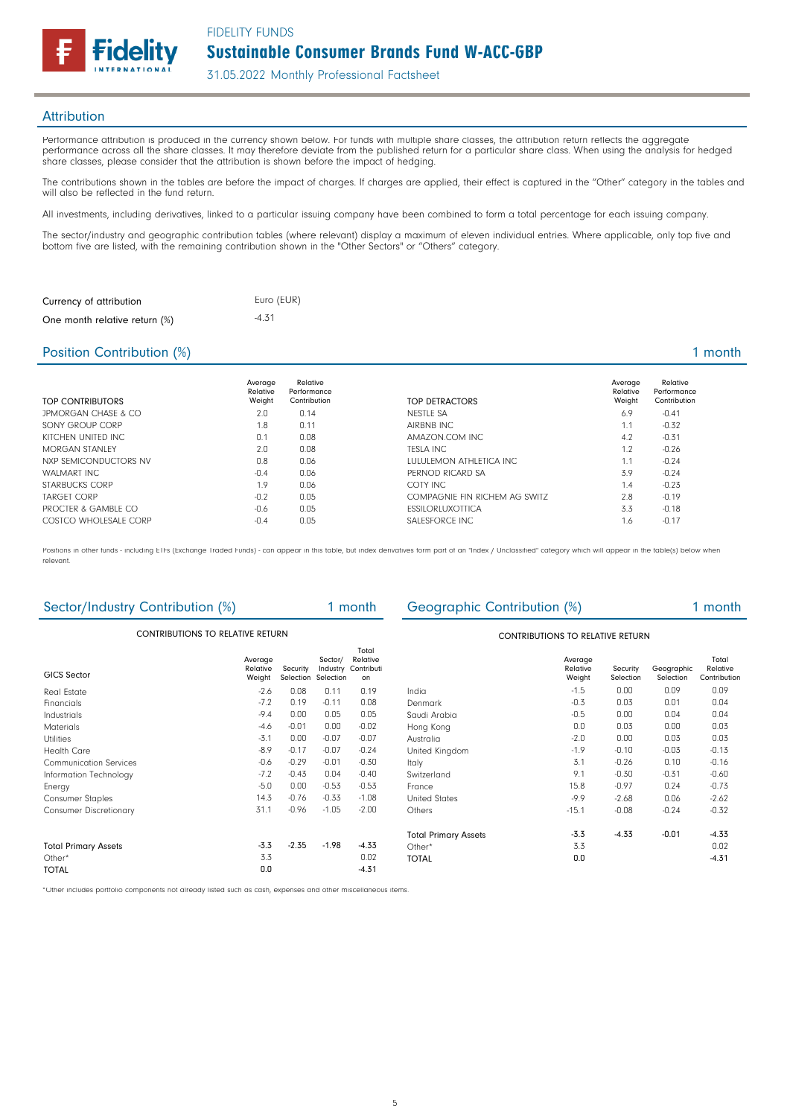Sustainable Consumer Brands Fund W-ACC-GBP FIDELITY FUNDS

31.05.2022 Monthly Professional Factsheet

## **Attribution**

Performance attribution is produced in the currency shown below. For funds with multiple share classes, the attribution return reflects the aggregate performance across all the share classes. It may therefore deviate from the published return for a particular share class. When using the analysis for hedged share classes, please consider that the attribution is shown before the impact of hedging.

The contributions shown in the tables are before the impact of charges. If charges are applied, their effect is captured in the "Other" category in the tables and will also be reflected in the fund return.

All investments, including derivatives, linked to a particular issuing company have been combined to form a total percentage for each issuing company.

The sector/industry and geographic contribution tables (where relevant) display a maximum of eleven individual entries. Where applicable, only top five and bottom five are listed, with the remaining contribution shown in the "Other Sectors" or "Others" category.

| Currency of attribution       | Euro (EUR) |
|-------------------------------|------------|
| One month relative return (%) | $-4.31$    |

delitv

### Position Contribution (%) 1 month

| TOP CONTRIBUTORS      | Average<br>Relative<br>Weight | Relative<br>Performance<br>Contribution | TOP DETRACTORS                | Average<br>Relative<br>Weight | Relative<br>Performance<br>Contribution |
|-----------------------|-------------------------------|-----------------------------------------|-------------------------------|-------------------------------|-----------------------------------------|
| JPMORGAN CHASE & CO   | 2.0                           | 0.14                                    | NESTLE SA                     | 6.9                           | $-0.41$                                 |
| SONY GROUP CORP       | 1.8                           | 0.11                                    | AIRBNB INC                    | 1.1                           | $-0.32$                                 |
| KITCHEN UNITED INC.   | 0.1                           | 0.08                                    | AMAZON.COM INC.               | 4.2                           | $-0.31$                                 |
| <b>MORGAN STANLEY</b> | 2.0                           | 0.08                                    | <b>TESLA INC</b>              | 1.2                           | $-0.26$                                 |
| NXP SEMICONDUCTORS NV | 0.8                           | 0.06                                    | LULULEMON ATHLETICA INC       | 1.1                           | $-0.24$                                 |
| WALMART INC           | $-0.4$                        | 0.06                                    | PERNOD RICARD SA              | 3.9                           | $-0.24$                                 |
| STARBUCKS CORP        | 1.9                           | 0.06                                    | COTY INC                      | 1.4                           | $-0.23$                                 |
| <b>TARGET CORP</b>    | $-0.2$                        | 0.05                                    | COMPAGNIE FIN RICHEM AG SWITZ | 2.8                           | $-0.19$                                 |
| PROCTER & GAMBLE CO   | $-0.6$                        | 0.05                                    | <b>ESSILORLUXOTTICA</b>       | 3.3                           | $-0.18$                                 |
| COSTCO WHOLFSALF CORP | $-0.4$                        | 0.05                                    | SALESFORCE INC.               | 1.6                           | $-0.17$                                 |

Positions in other funds - including ETFs (Exchange Traded Funds) - can appear in this table, but index derivatives form part of an "Index / Unclassified" category which will appear in the table(s) below when relevant.

| Sector/Industry Contribution (%) |                               |                       | 1 month                          |                                       | Geographic Contribution (%)             |                               |                       | 1 month                 |                                   |  |
|----------------------------------|-------------------------------|-----------------------|----------------------------------|---------------------------------------|-----------------------------------------|-------------------------------|-----------------------|-------------------------|-----------------------------------|--|
| CONTRIBUTIONS TO RELATIVE RETURN |                               |                       |                                  |                                       | <b>CONTRIBUTIONS TO RELATIVE RETURN</b> |                               |                       |                         |                                   |  |
| <b>GICS Sector</b>               | Average<br>Relative<br>Weight | Security<br>Selection | Sector/<br>Industry<br>Selection | Total<br>Relative<br>Contributi<br>on |                                         | Average<br>Relative<br>Weight | Security<br>Selection | Geographic<br>Selection | Total<br>Relative<br>Contribution |  |
| <b>Real Estate</b>               | $-2.6$                        | 0.08                  | 0.11                             | 0.19                                  | India                                   | $-1.5$                        | 0.00                  | 0.09                    | 0.09                              |  |
| Financials                       | $-7.2$                        | 0.19                  | $-0.11$                          | 0.08                                  | Denmark                                 | $-0.3$                        | 0.03                  | 0.01                    | 0.04                              |  |
| Industrials                      | $-9.4$                        | 0.00                  | 0.05                             | 0.05                                  | Saudi Arabia                            | $-0.5$                        | 0.00                  | 0.04                    | 0.04                              |  |
| <b>Materials</b>                 | $-4.6$                        | $-0.01$               | 0.00                             | $-0.02$                               | Hong Kong                               | 0.0                           | 0.03                  | 0.00                    | 0.03                              |  |
| <b>Utilities</b>                 | $-3.1$                        | 0.00                  | $-0.07$                          | $-0.07$                               | Australia                               | $-2.0$                        | 0.00                  | 0.03                    | 0.03                              |  |
| <b>Health Care</b>               | $-8.9$                        | $-0.17$               | $-0.07$                          | $-0.24$                               | United Kingdom                          | $-1.9$                        | $-0.10$               | $-0.03$                 | $-0.13$                           |  |
| <b>Communication Services</b>    | $-0.6$                        | $-0.29$               | $-0.01$                          | $-0.30$                               | Italy                                   | 3.1                           | $-0.26$               | 0.10                    | $-0.16$                           |  |
| Information Technology           | $-7.2$                        | $-0.43$               | 0.04                             | $-0.40$                               | Switzerland                             | 9.1                           | $-0.30$               | $-0.31$                 | $-0.60$                           |  |
| Energy                           | $-5.0$                        | 0.00                  | $-0.53$                          | $-0.53$                               | France                                  | 15.8                          | $-0.97$               | 0.24                    | $-0.73$                           |  |
| <b>Consumer Staples</b>          | 14.3                          | $-0.76$               | $-0.33$                          | $-1.08$                               | <b>United States</b>                    | $-9.9$                        | $-2.68$               | 0.06                    | $-2.62$                           |  |
| <b>Consumer Discretionary</b>    | 31.1                          | $-0.96$               | $-1.05$                          | $-2.00$                               | Others                                  | $-15.1$                       | $-0.08$               | $-0.24$                 | $-0.32$                           |  |
|                                  |                               |                       |                                  |                                       | <b>Total Primary Assets</b>             | $-3.3$                        | $-4.33$               | $-0.01$                 | $-4.33$                           |  |
| <b>Total Primary Assets</b>      | $-3.3$                        | $-2.35$               | $-1.98$                          | $-4.33$                               | Other*                                  | 3.3                           |                       |                         | 0.02                              |  |
| Other*                           | 3.3                           |                       |                                  | 0.02                                  | <b>TOTAL</b>                            | 0.0                           |                       |                         | $-4.31$                           |  |
| <b>TOTAL</b>                     | 0.0                           |                       |                                  | $-4.31$                               |                                         |                               |                       |                         |                                   |  |

\*Other includes portfolio components not already listed such as cash, expenses and other miscellaneous items.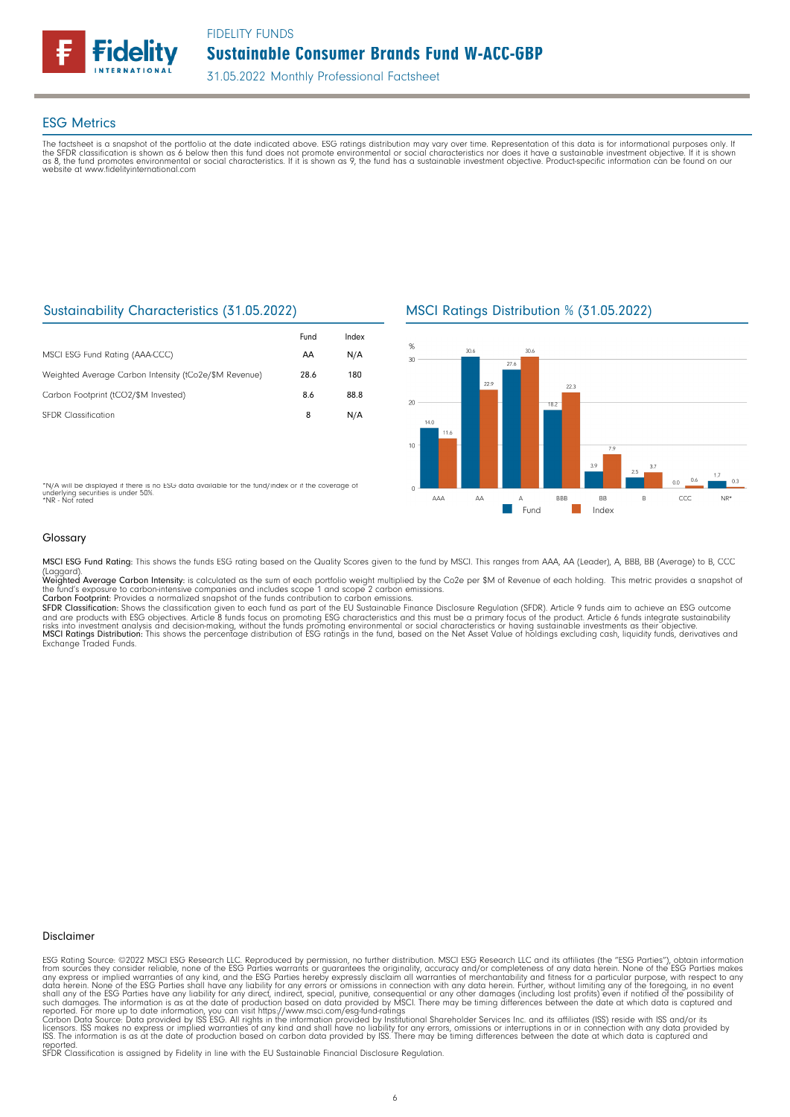

#### ESG Metrics

The factsheet is a snapshot of the portfolio at the date indicated above. ESG ratings distribution may vary over time. Representation of this data is for informational purposes only. If<br>the SFDR classification is shown as website at www.fidelityinternational.com

## Sustainability Characteristics (31.05.2022)

|                                                       | Fund | Index |
|-------------------------------------------------------|------|-------|
| MSCI ESG Fund Rating (AAA-CCC)                        | AA   | N/A   |
| Weighted Average Carbon Intensity (tCo2e/\$M Revenue) | 28.6 | 180   |
| Carbon Footprint (tCO2/\$M Invested)                  | 8.6  | 88.8  |
| <b>SEDR</b> Classification                            | 8    | N/A   |

\*N/A will be displayed if there is no ESG data available for the fund/index or if the coverage of underlying securities is under 50%. \*NR - Not rated





#### Glossary

MSCI ESG Fund Rating: This shows the funds ESG rating based on the Quality Scores given to the fund by MSCI. This ranges from AAA, AA (Leader), A, BBB, BB (Average) to B, CCC

(Laggard).<br>**Weighted Average Carbon Intensity**: is calculated as the sum of each portfolio weight multiplied by the Co2e per \$M of Revenue of each holding. This metric provides a snapshot o

the fund's exposure to carbon-intensive companies and includes scope 1 and scope 2 carbon emissions.<br>**Carbon Footprint**: Provides a normalized snapshot of the funds contribution to carbon emissions.<br>**SFDR Classification:** and are products with ESG objectives. Article 8 funds focus on promoting ESG characteristics and this must be a primary focus of the product. Article 6 funds integrate sustainability<br>risks into investment analysis and deci

#### Disclaimer

ESG Rating Source: ©2022 MSCI ESG Research LLC. Reproduced by permission, no further distribution. MSCI ESG Research LLC and its affiliates (the "ESG Parties"), obtain information<br>from sources they consider reliable, none

reported. SFDR Classification is assigned by Fidelity in line with the EU Sustainable Financial Disclosure Regulation.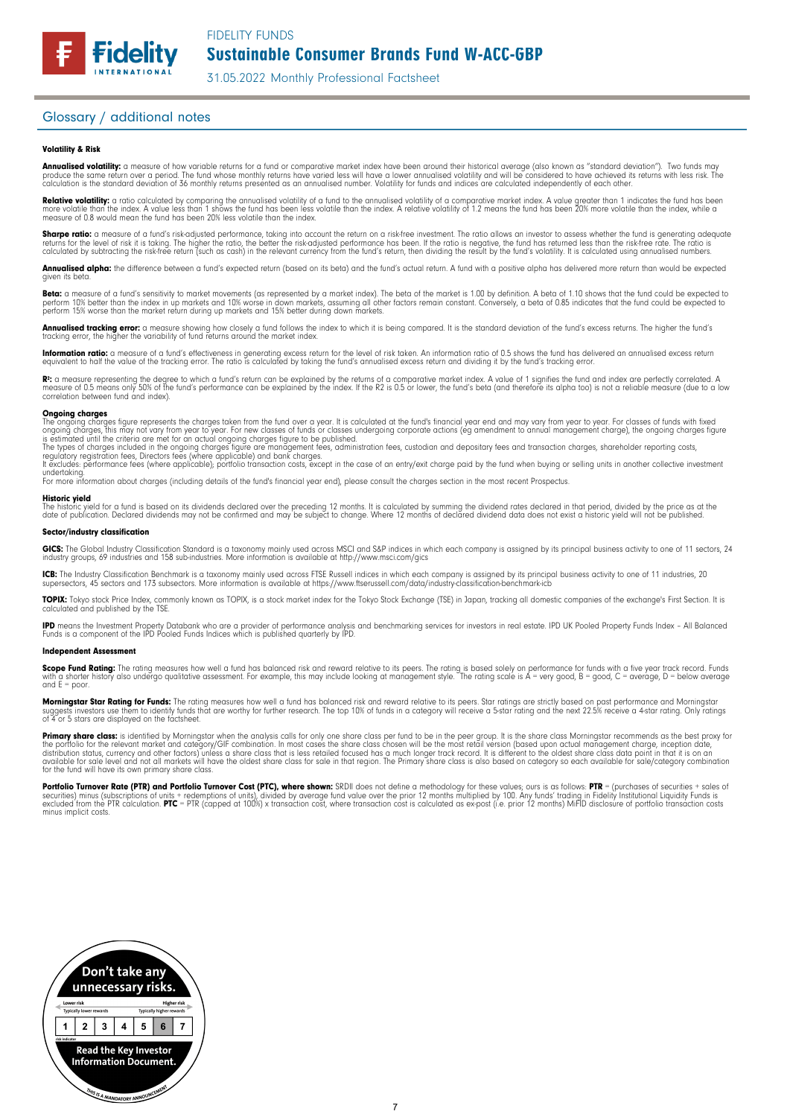31.05.2022 Monthly Professional Factsheet

## Glossary / additional notes

**Fidelity** 

#### Volatility & Risk

**Annualised volatility:** a measure of how variable returns for a fund or comparative market index have been around their historical average (also known as "standard deviation"). Two funds may<br>produce the same return over a calculation is the standard deviation of 36 monthly returns presented as an annualised number. Volatility for funds and indices are calculated independently of each other

**Relative volatility:** a ratio calculated by comparing the annualised volatility of a fund to the annualised volatility of a comparative market index. A value greater than 1 indicates the fund has been<br>more volatile than t measure of 0.8 would mean the fund has been 20% less volatile than the index.

**Sharpe ratio:** a measure of a fund's risk-adjusted performance, taking into account the return on a risk-free investment. The ratio allows an investor to assess whether the fund is generating adequate the tund is generati

Annualised alpha: the difference between a fund's expected return (based on its beta) and the fund's actual return. A fund with a positive alpha has delivered more return than would be expected given its beta

**Beta:** a measure of a fund's sensitivity to market movements (as represented by a market index). The beta of the market is 1.00 by definition. A beta of 1.10 shows that the fund could be expected to<br>perform 10% better tha perform 15% worse than the market return during up markets and 15% better during down markets.

**Annualised tracking error:** a measure showing how closely a tund tollows the index to which it is being compared. It is the standard deviation of the fund's excess returns. The higher the fund's<br>tracking error, the higher

**Information ratio:** a measure ot a tund's eftectiveness in generating excess return for the level of risk taken. An information ratio of U.5 shows the fund has delivered an annualised excess return<br>equivalent to half the

Rº: a measure representing the degree to which a fund's return can be explained by the returns of a comparative market index. A value of 1 signifies the fund and index are perfectly correlated. A<br>measure of 0.5 means only correlation between fund and index).

**Ongoing charges** figure represents the charges taken from the fund over a year. It is calculated at the fund's financial year end and may vary from year to year. For classes of funds with fixed ongoing charges figure repr

For more information about charges (including details of the fund's financial year end), please consult the charges section in the most recent Prospectus.

**Historic yield**<br>The historic yield for a fund is based on its dividends declared over the preceding 12 months. It is calculated by summing the dividend rates declared in that period, divided by the price as at the date of publication. Declared dividends may not be confirmed and may be subject to change. Where 12 months of declared dividend data does not exist a historic yield will not be published.

#### Sector/industry classification

GICS: The Global Industry Classification Standard is a taxonomy mainly used across MSCI and S&P indices in which each company is assigned by its principal business activity to one of 11 sectors, 24 industry groups, 69 industries and 158 sub-industries. More information is available at http://www.msci.com/gics

**ICB:** The Industry Classitication Benchmark is a taxonomy mainly used across FTSE Russell indices in which each company is assigned by its principal business activity to one of 11 industries, 20<br>supersectors, 45 sectors a

TOPIX: Tokyo stock Price Index, commonly known as TOPIX, is a stock market index for the Tokyo Stock Exchange (TSE) in Japan, tracking all domestic companies of the exchange's First Section. It is calculated and published by the TSE.

**IPD** means the Investment Property Databank who are a provider of performance analysis and benchmarking services for investors in real estate. IPD UK Pooled Property Funds Index - All Balanced<br>Funds is a component of the

#### Independent Assessment

**Scope Fund Rating:** The rating measures how well a fund has balanced risk and reward relative to its peers. The rating is based solely on performance for funds with a five year track record. Funds<br>with a shorter history a and  $E = poor$ 

**Morningstar Star Rating for Funds:** The rating measures how well a tund has balanced risk and reward relative to its peers. Star ratings are strictly based on past performance and Morningstar<br>suggests investors use them t

**Primary share class:** is identified by Morningstar when the analysis calls for only one share class per fund to be in the peer group. It is the share class Morningstar recommends as the best proxy for the best proxy for c for the fund will have its own primary share class.

Portfolio Turnover Rate (PTR) and Portfolio Turnover Cost (PTC), where shown: SRDII does not define a methodology for these values; ours is as follows: PTR = (purchases of securities + sales of<br>securities) minus (subscript minus implicit costs.